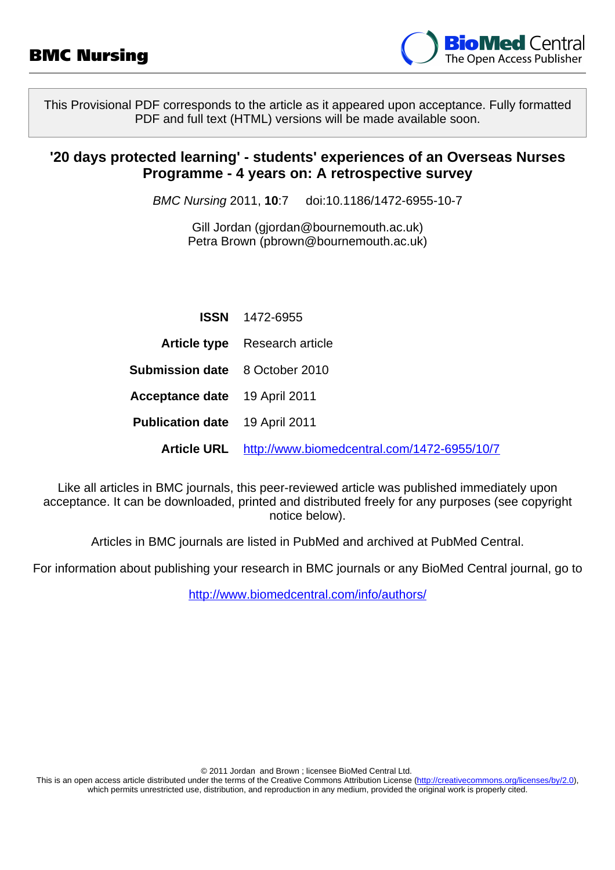

This Provisional PDF corresponds to the article as it appeared upon acceptance. Fully formatted PDF and full text (HTML) versions will be made available soon.

# **'20 days protected learning' - students' experiences of an Overseas Nurses Programme - 4 years on: A retrospective survey**

BMC Nursing 2011, **10**:7 doi:10.1186/1472-6955-10-7

Gill Jordan ([gjordan@bournemouth.ac.uk](mailto:gjordan@bournemouth.ac.uk)) Petra Brown [\(pbrown@bournemouth.ac.uk](mailto:pbrown@bournemouth.ac.uk))

|                                       | <b>ISSN</b> 1472-6955                       |
|---------------------------------------|---------------------------------------------|
|                                       | <b>Article type</b> Research article        |
| <b>Submission date</b> 8 October 2010 |                                             |
| <b>Acceptance date</b> 19 April 2011  |                                             |
| <b>Publication date</b> 19 April 2011 |                                             |
| <b>Article URL</b>                    | http://www.biomedcentral.com/1472-6955/10/7 |

Like all articles in BMC journals, this peer-reviewed article was published immediately upon acceptance. It can be downloaded, printed and distributed freely for any purposes (see copyright notice below).

Articles in BMC journals are listed in PubMed and archived at PubMed Central.

For information about publishing your research in BMC journals or any BioMed Central journal, go to

<http://www.biomedcentral.com/info/authors/>

© 2011 Jordan and Brown ; licensee BioMed Central Ltd.

This is an open access article distributed under the terms of the Creative Commons Attribution License [\(http://creativecommons.org/licenses/by/2.0](http://creativecommons.org/licenses/by/2.0)), which permits unrestricted use, distribution, and reproduction in any medium, provided the original work is properly cited.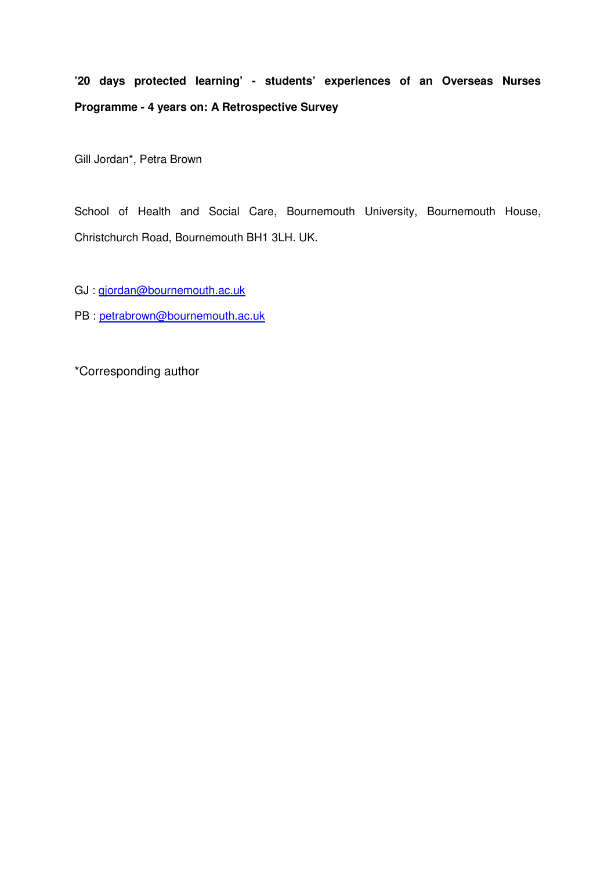# **'20 days protected learning' - students' experiences of an Overseas Nurses Programme - 4 years on: A Retrospective Survey**

Gill Jordan\*, Petra Brown

School of Health and Social Care, Bournemouth University, Bournemouth House, Christchurch Road, Bournemouth BH1 3LH. UK.

- GJ : gjordan@bournemouth.ac.uk
- PB : petrabrown@bournemouth.ac.uk

\*Corresponding author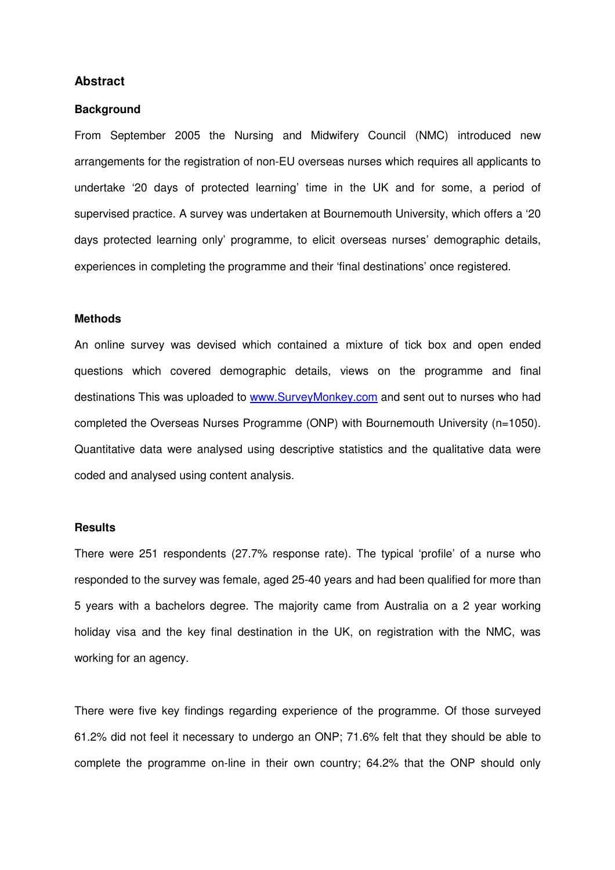# **Abstract**

#### **Background**

From September 2005 the Nursing and Midwifery Council (NMC) introduced new arrangements for the registration of non-EU overseas nurses which requires all applicants to undertake '20 days of protected learning' time in the UK and for some, a period of supervised practice. A survey was undertaken at Bournemouth University, which offers a '20 days protected learning only' programme, to elicit overseas nurses' demographic details, experiences in completing the programme and their 'final destinations' once registered.

#### **Methods**

An online survey was devised which contained a mixture of tick box and open ended questions which covered demographic details, views on the programme and final destinations This was uploaded to www.SurveyMonkey.com and sent out to nurses who had completed the Overseas Nurses Programme (ONP) with Bournemouth University (n=1050). Quantitative data were analysed using descriptive statistics and the qualitative data were coded and analysed using content analysis.

#### **Results**

There were 251 respondents (27.7% response rate). The typical 'profile' of a nurse who responded to the survey was female, aged 25-40 years and had been qualified for more than 5 years with a bachelors degree. The majority came from Australia on a 2 year working holiday visa and the key final destination in the UK, on registration with the NMC, was working for an agency.

There were five key findings regarding experience of the programme. Of those surveyed 61.2% did not feel it necessary to undergo an ONP; 71.6% felt that they should be able to complete the programme on-line in their own country; 64.2% that the ONP should only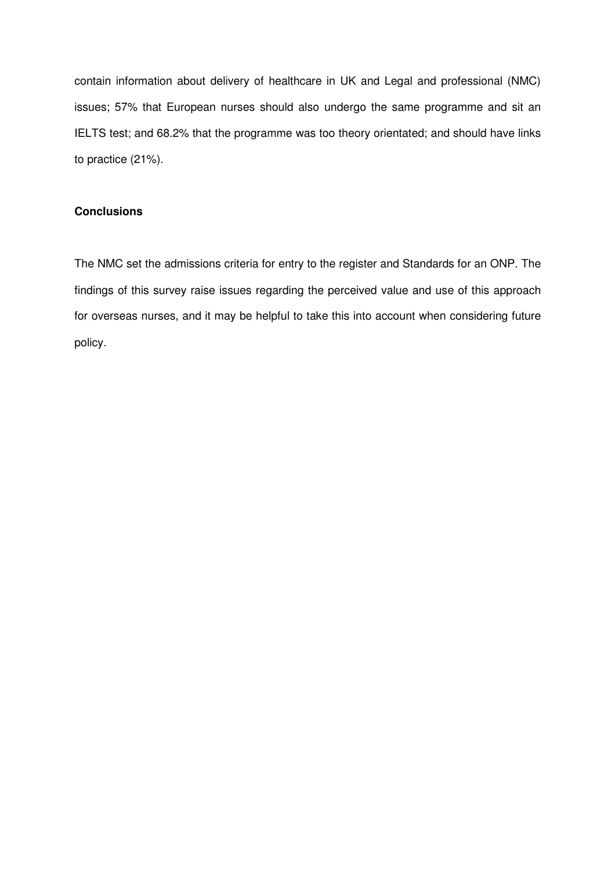contain information about delivery of healthcare in UK and Legal and professional (NMC) issues; 57% that European nurses should also undergo the same programme and sit an IELTS test; and 68.2% that the programme was too theory orientated; and should have links to practice (21%).

# **Conclusions**

The NMC set the admissions criteria for entry to the register and Standards for an ONP. The findings of this survey raise issues regarding the perceived value and use of this approach for overseas nurses, and it may be helpful to take this into account when considering future policy.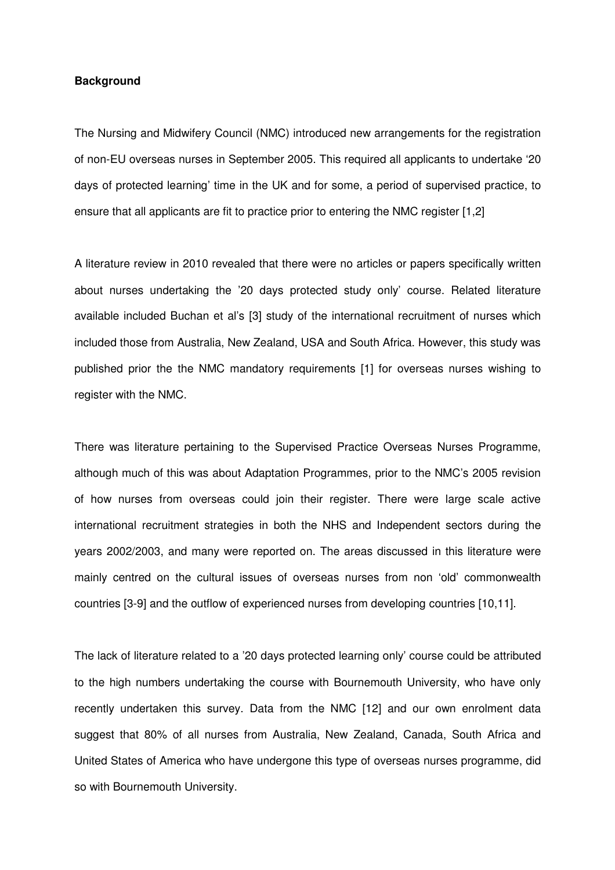# **Background**

The Nursing and Midwifery Council (NMC) introduced new arrangements for the registration of non-EU overseas nurses in September 2005. This required all applicants to undertake '20 days of protected learning' time in the UK and for some, a period of supervised practice, to ensure that all applicants are fit to practice prior to entering the NMC register [1,2]

A literature review in 2010 revealed that there were no articles or papers specifically written about nurses undertaking the '20 days protected study only' course. Related literature available included Buchan et al's [3] study of the international recruitment of nurses which included those from Australia, New Zealand, USA and South Africa. However, this study was published prior the the NMC mandatory requirements [1] for overseas nurses wishing to register with the NMC.

There was literature pertaining to the Supervised Practice Overseas Nurses Programme, although much of this was about Adaptation Programmes, prior to the NMC's 2005 revision of how nurses from overseas could join their register. There were large scale active international recruitment strategies in both the NHS and Independent sectors during the years 2002/2003, and many were reported on. The areas discussed in this literature were mainly centred on the cultural issues of overseas nurses from non 'old' commonwealth countries [3-9] and the outflow of experienced nurses from developing countries [10,11].

The lack of literature related to a '20 days protected learning only' course could be attributed to the high numbers undertaking the course with Bournemouth University, who have only recently undertaken this survey. Data from the NMC [12] and our own enrolment data suggest that 80% of all nurses from Australia, New Zealand, Canada, South Africa and United States of America who have undergone this type of overseas nurses programme, did so with Bournemouth University.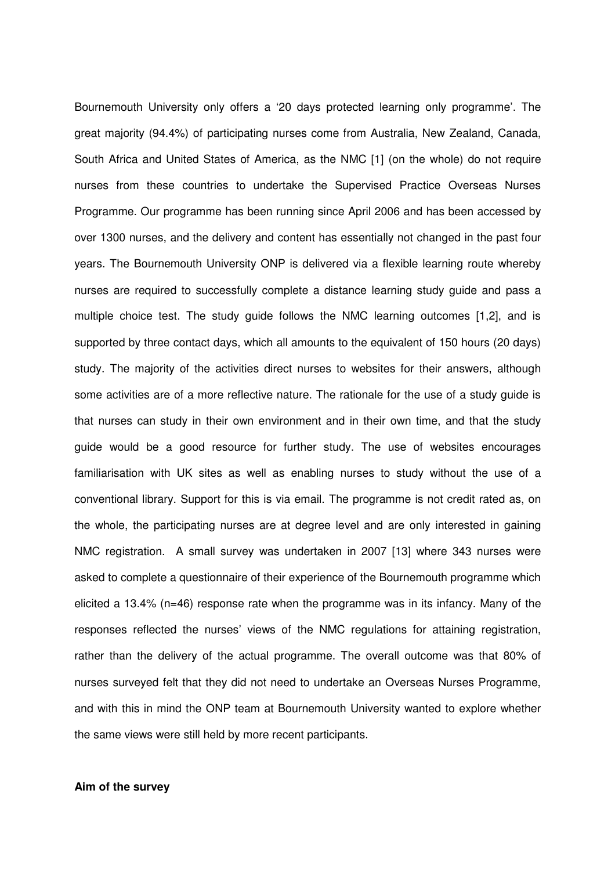Bournemouth University only offers a '20 days protected learning only programme'. The great majority (94.4%) of participating nurses come from Australia, New Zealand, Canada, South Africa and United States of America, as the NMC [1] (on the whole) do not require nurses from these countries to undertake the Supervised Practice Overseas Nurses Programme. Our programme has been running since April 2006 and has been accessed by over 1300 nurses, and the delivery and content has essentially not changed in the past four years. The Bournemouth University ONP is delivered via a flexible learning route whereby nurses are required to successfully complete a distance learning study guide and pass a multiple choice test. The study guide follows the NMC learning outcomes [1,2], and is supported by three contact days, which all amounts to the equivalent of 150 hours (20 days) study. The majority of the activities direct nurses to websites for their answers, although some activities are of a more reflective nature. The rationale for the use of a study guide is that nurses can study in their own environment and in their own time, and that the study guide would be a good resource for further study. The use of websites encourages familiarisation with UK sites as well as enabling nurses to study without the use of a conventional library. Support for this is via email. The programme is not credit rated as, on the whole, the participating nurses are at degree level and are only interested in gaining NMC registration. A small survey was undertaken in 2007 [13] where 343 nurses were asked to complete a questionnaire of their experience of the Bournemouth programme which elicited a 13.4% (n=46) response rate when the programme was in its infancy. Many of the responses reflected the nurses' views of the NMC regulations for attaining registration, rather than the delivery of the actual programme. The overall outcome was that 80% of nurses surveyed felt that they did not need to undertake an Overseas Nurses Programme, and with this in mind the ONP team at Bournemouth University wanted to explore whether the same views were still held by more recent participants.

# **Aim of the survey**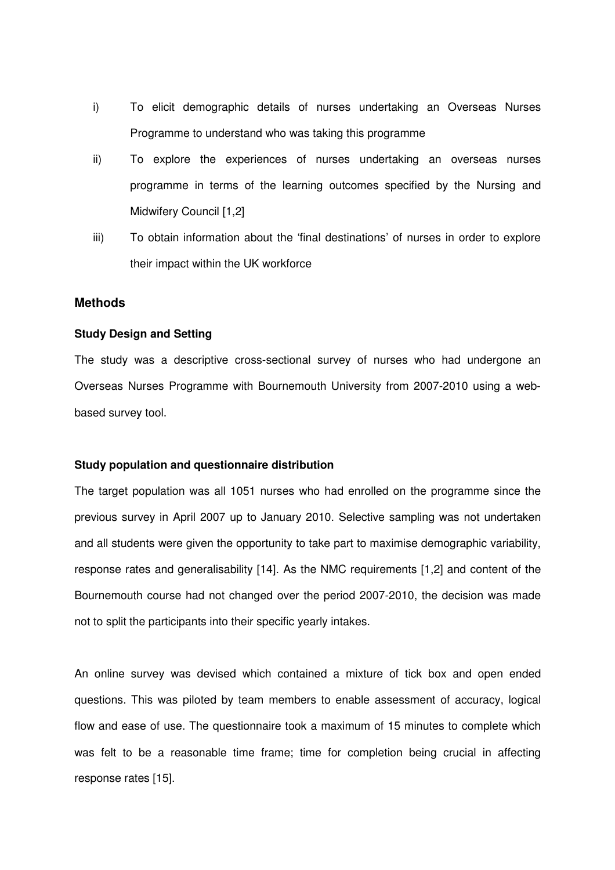- i) To elicit demographic details of nurses undertaking an Overseas Nurses Programme to understand who was taking this programme
- ii) To explore the experiences of nurses undertaking an overseas nurses programme in terms of the learning outcomes specified by the Nursing and Midwifery Council [1,2]
- iii) To obtain information about the 'final destinations' of nurses in order to explore their impact within the UK workforce

# **Methods**

#### **Study Design and Setting**

The study was a descriptive cross-sectional survey of nurses who had undergone an Overseas Nurses Programme with Bournemouth University from 2007-2010 using a webbased survey tool.

#### **Study population and questionnaire distribution**

The target population was all 1051 nurses who had enrolled on the programme since the previous survey in April 2007 up to January 2010. Selective sampling was not undertaken and all students were given the opportunity to take part to maximise demographic variability, response rates and generalisability [14]. As the NMC requirements [1,2] and content of the Bournemouth course had not changed over the period 2007-2010, the decision was made not to split the participants into their specific yearly intakes.

An online survey was devised which contained a mixture of tick box and open ended questions. This was piloted by team members to enable assessment of accuracy, logical flow and ease of use. The questionnaire took a maximum of 15 minutes to complete which was felt to be a reasonable time frame; time for completion being crucial in affecting response rates [15].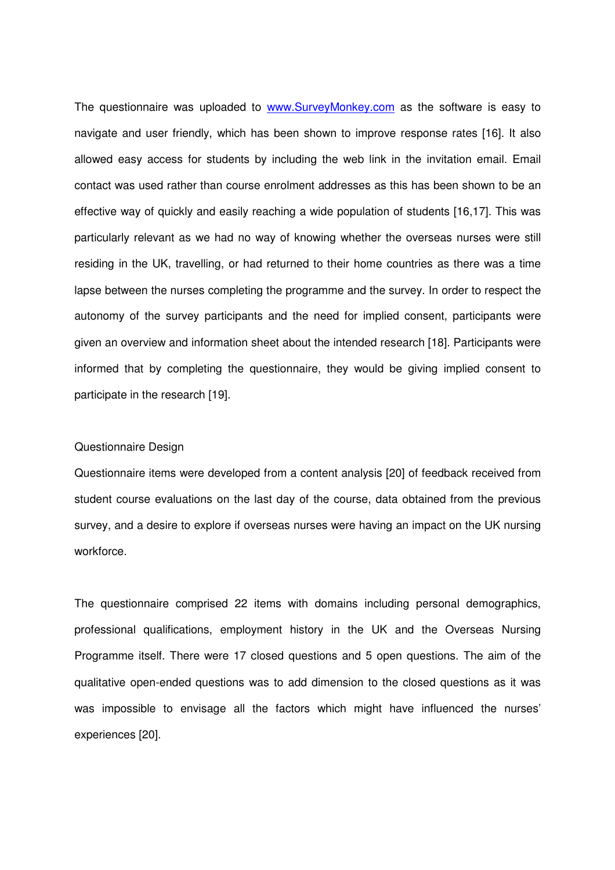The questionnaire was uploaded to www.SurveyMonkey.com as the software is easy to navigate and user friendly, which has been shown to improve response rates [16]. It also allowed easy access for students by including the web link in the invitation email. Email contact was used rather than course enrolment addresses as this has been shown to be an effective way of quickly and easily reaching a wide population of students [16,17]. This was particularly relevant as we had no way of knowing whether the overseas nurses were still residing in the UK, travelling, or had returned to their home countries as there was a time lapse between the nurses completing the programme and the survey. In order to respect the autonomy of the survey participants and the need for implied consent, participants were given an overview and information sheet about the intended research [18]. Participants were informed that by completing the questionnaire, they would be giving implied consent to participate in the research [19].

#### Questionnaire Design

Questionnaire items were developed from a content analysis [20] of feedback received from student course evaluations on the last day of the course, data obtained from the previous survey, and a desire to explore if overseas nurses were having an impact on the UK nursing workforce.

The questionnaire comprised 22 items with domains including personal demographics, professional qualifications, employment history in the UK and the Overseas Nursing Programme itself. There were 17 closed questions and 5 open questions. The aim of the qualitative open-ended questions was to add dimension to the closed questions as it was was impossible to envisage all the factors which might have influenced the nurses' experiences [20].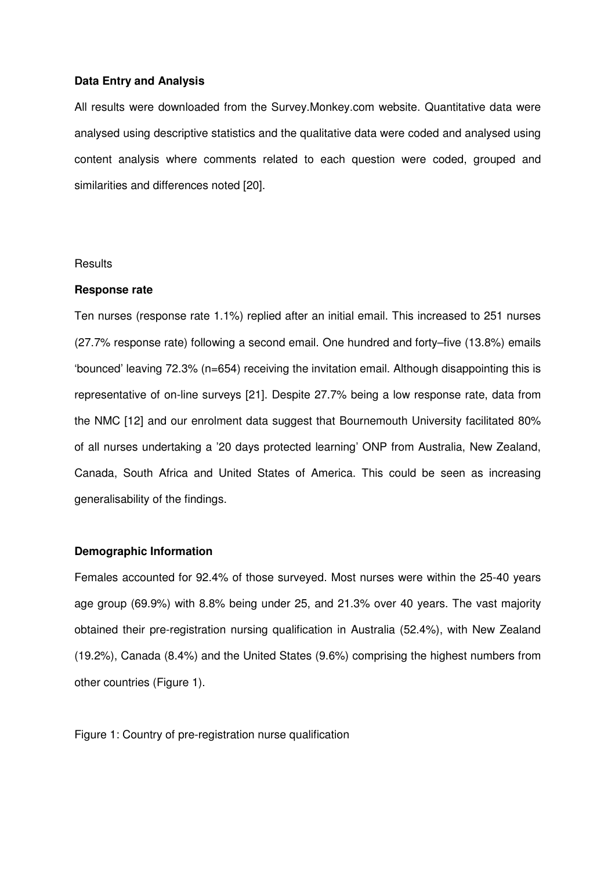#### **Data Entry and Analysis**

All results were downloaded from the Survey.Monkey.com website. Quantitative data were analysed using descriptive statistics and the qualitative data were coded and analysed using content analysis where comments related to each question were coded, grouped and similarities and differences noted [20].

#### **Results**

#### **Response rate**

Ten nurses (response rate 1.1%) replied after an initial email. This increased to 251 nurses (27.7% response rate) following a second email. One hundred and forty–five (13.8%) emails 'bounced' leaving 72.3% (n=654) receiving the invitation email. Although disappointing this is representative of on-line surveys [21]. Despite 27.7% being a low response rate, data from the NMC [12] and our enrolment data suggest that Bournemouth University facilitated 80% of all nurses undertaking a '20 days protected learning' ONP from Australia, New Zealand, Canada, South Africa and United States of America. This could be seen as increasing generalisability of the findings.

# **Demographic Information**

Females accounted for 92.4% of those surveyed. Most nurses were within the 25-40 years age group (69.9%) with 8.8% being under 25, and 21.3% over 40 years. The vast majority obtained their pre-registration nursing qualification in Australia (52.4%), with New Zealand (19.2%), Canada (8.4%) and the United States (9.6%) comprising the highest numbers from other countries (Figure 1).

Figure 1: Country of pre-registration nurse qualification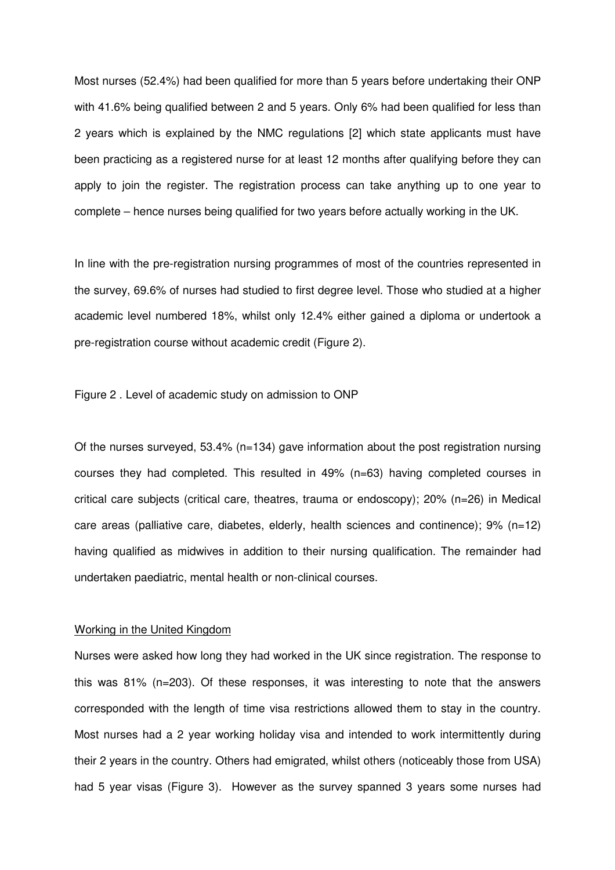Most nurses (52.4%) had been qualified for more than 5 years before undertaking their ONP with 41.6% being qualified between 2 and 5 years. Only 6% had been qualified for less than 2 years which is explained by the NMC regulations [2] which state applicants must have been practicing as a registered nurse for at least 12 months after qualifying before they can apply to join the register. The registration process can take anything up to one year to complete – hence nurses being qualified for two years before actually working in the UK.

In line with the pre-registration nursing programmes of most of the countries represented in the survey, 69.6% of nurses had studied to first degree level. Those who studied at a higher academic level numbered 18%, whilst only 12.4% either gained a diploma or undertook a pre-registration course without academic credit (Figure 2).

Figure 2 . Level of academic study on admission to ONP

Of the nurses surveyed, 53.4% (n=134) gave information about the post registration nursing courses they had completed. This resulted in 49% (n=63) having completed courses in critical care subjects (critical care, theatres, trauma or endoscopy); 20% (n=26) in Medical care areas (palliative care, diabetes, elderly, health sciences and continence); 9% (n=12) having qualified as midwives in addition to their nursing qualification. The remainder had undertaken paediatric, mental health or non-clinical courses.

# Working in the United Kingdom

Nurses were asked how long they had worked in the UK since registration. The response to this was 81% (n=203). Of these responses, it was interesting to note that the answers corresponded with the length of time visa restrictions allowed them to stay in the country. Most nurses had a 2 year working holiday visa and intended to work intermittently during their 2 years in the country. Others had emigrated, whilst others (noticeably those from USA) had 5 year visas (Figure 3). However as the survey spanned 3 years some nurses had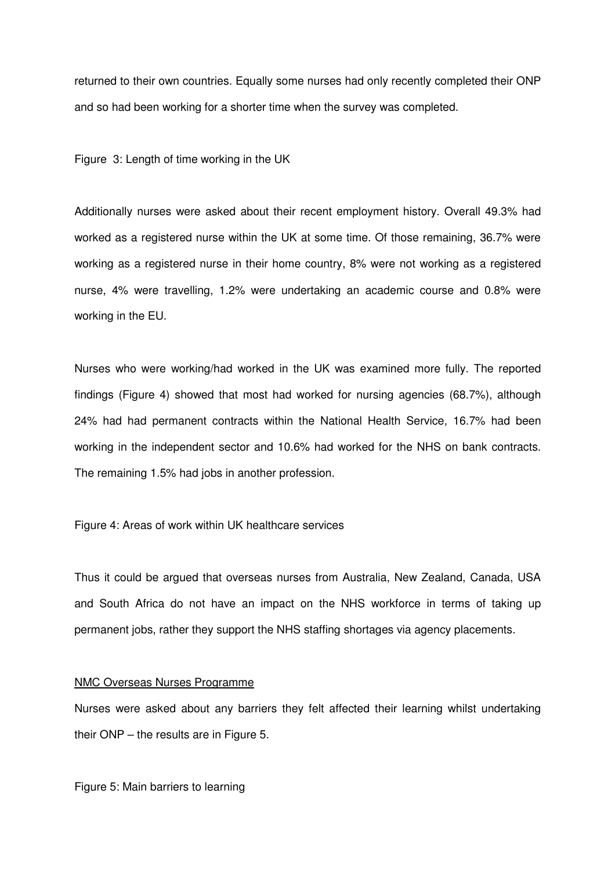returned to their own countries. Equally some nurses had only recently completed their ONP and so had been working for a shorter time when the survey was completed.

Figure 3: Length of time working in the UK

Additionally nurses were asked about their recent employment history. Overall 49.3% had worked as a registered nurse within the UK at some time. Of those remaining, 36.7% were working as a registered nurse in their home country, 8% were not working as a registered nurse, 4% were travelling, 1.2% were undertaking an academic course and 0.8% were working in the EU.

Nurses who were working/had worked in the UK was examined more fully. The reported findings (Figure 4) showed that most had worked for nursing agencies (68.7%), although 24% had had permanent contracts within the National Health Service, 16.7% had been working in the independent sector and 10.6% had worked for the NHS on bank contracts. The remaining 1.5% had jobs in another profession.

Figure 4: Areas of work within UK healthcare services

Thus it could be argued that overseas nurses from Australia, New Zealand, Canada, USA and South Africa do not have an impact on the NHS workforce in terms of taking up permanent jobs, rather they support the NHS staffing shortages via agency placements.

## NMC Overseas Nurses Programme

Nurses were asked about any barriers they felt affected their learning whilst undertaking their ONP – the results are in Figure 5.

Figure 5: Main barriers to learning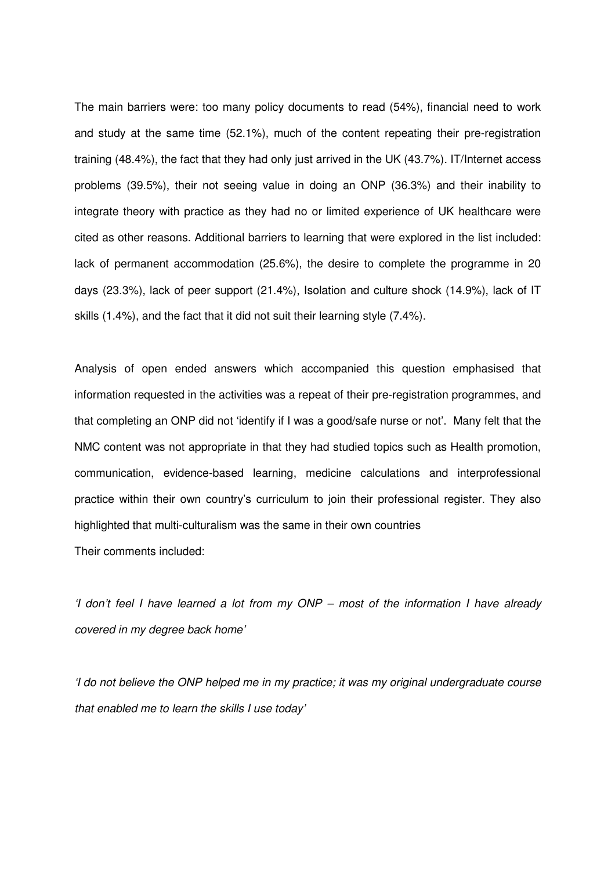The main barriers were: too many policy documents to read (54%), financial need to work and study at the same time (52.1%), much of the content repeating their pre-registration training (48.4%), the fact that they had only just arrived in the UK (43.7%). IT/Internet access problems (39.5%), their not seeing value in doing an ONP (36.3%) and their inability to integrate theory with practice as they had no or limited experience of UK healthcare were cited as other reasons. Additional barriers to learning that were explored in the list included: lack of permanent accommodation (25.6%), the desire to complete the programme in 20 days (23.3%), lack of peer support (21.4%), Isolation and culture shock (14.9%), lack of IT skills (1.4%), and the fact that it did not suit their learning style (7.4%).

Analysis of open ended answers which accompanied this question emphasised that information requested in the activities was a repeat of their pre-registration programmes, and that completing an ONP did not 'identify if I was a good/safe nurse or not'. Many felt that the NMC content was not appropriate in that they had studied topics such as Health promotion, communication, evidence-based learning, medicine calculations and interprofessional practice within their own country's curriculum to join their professional register. They also highlighted that multi-culturalism was the same in their own countries

Their comments included:

'I don't feel I have learned a lot from my ONP – most of the information I have already covered in my degree back home'

'I do not believe the ONP helped me in my practice; it was my original undergraduate course that enabled me to learn the skills I use today'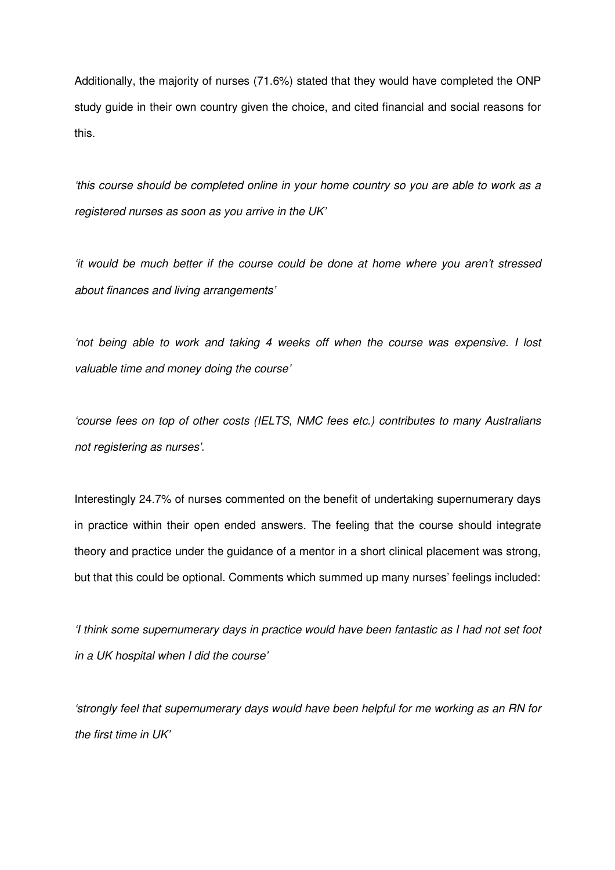Additionally, the majority of nurses (71.6%) stated that they would have completed the ONP study guide in their own country given the choice, and cited financial and social reasons for this.

'this course should be completed online in your home country so you are able to work as a registered nurses as soon as you arrive in the UK'

'it would be much better if the course could be done at home where you aren't stressed about finances and living arrangements'

'not being able to work and taking 4 weeks off when the course was expensive. I lost valuable time and money doing the course'

'course fees on top of other costs (IELTS, NMC fees etc.) contributes to many Australians not registering as nurses'.

Interestingly 24.7% of nurses commented on the benefit of undertaking supernumerary days in practice within their open ended answers. The feeling that the course should integrate theory and practice under the guidance of a mentor in a short clinical placement was strong, but that this could be optional. Comments which summed up many nurses' feelings included:

'I think some supernumerary days in practice would have been fantastic as I had not set foot in a UK hospital when I did the course'

'strongly feel that supernumerary days would have been helpful for me working as an RN for the first time in UK'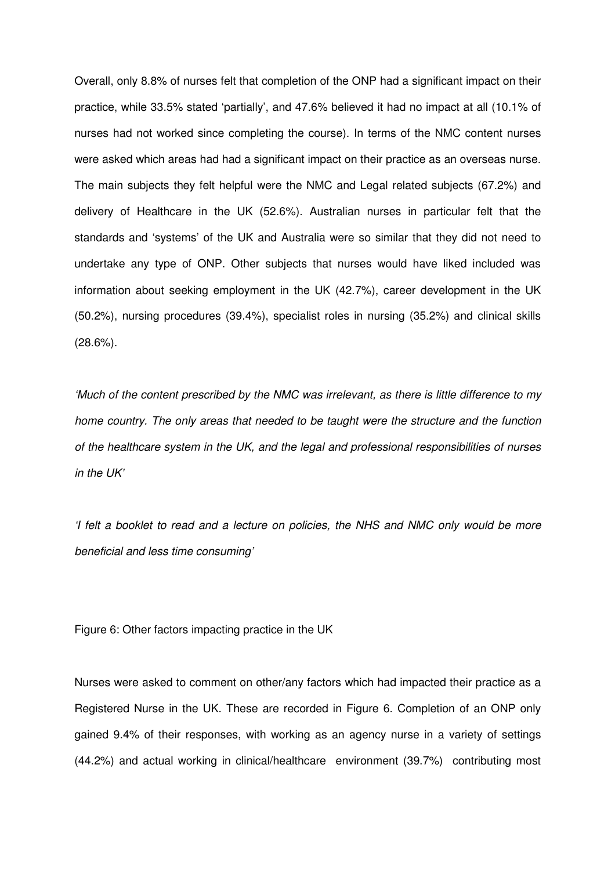Overall, only 8.8% of nurses felt that completion of the ONP had a significant impact on their practice, while 33.5% stated 'partially', and 47.6% believed it had no impact at all (10.1% of nurses had not worked since completing the course). In terms of the NMC content nurses were asked which areas had had a significant impact on their practice as an overseas nurse. The main subjects they felt helpful were the NMC and Legal related subjects (67.2%) and delivery of Healthcare in the UK (52.6%). Australian nurses in particular felt that the standards and 'systems' of the UK and Australia were so similar that they did not need to undertake any type of ONP. Other subjects that nurses would have liked included was information about seeking employment in the UK (42.7%), career development in the UK (50.2%), nursing procedures (39.4%), specialist roles in nursing (35.2%) and clinical skills (28.6%).

'Much of the content prescribed by the NMC was irrelevant, as there is little difference to my home country. The only areas that needed to be taught were the structure and the function of the healthcare system in the UK, and the legal and professional responsibilities of nurses in the UK'

'I felt a booklet to read and a lecture on policies, the NHS and NMC only would be more beneficial and less time consuming'

Figure 6: Other factors impacting practice in the UK

Nurses were asked to comment on other/any factors which had impacted their practice as a Registered Nurse in the UK. These are recorded in Figure 6. Completion of an ONP only gained 9.4% of their responses, with working as an agency nurse in a variety of settings (44.2%) and actual working in clinical/healthcare environment (39.7%) contributing most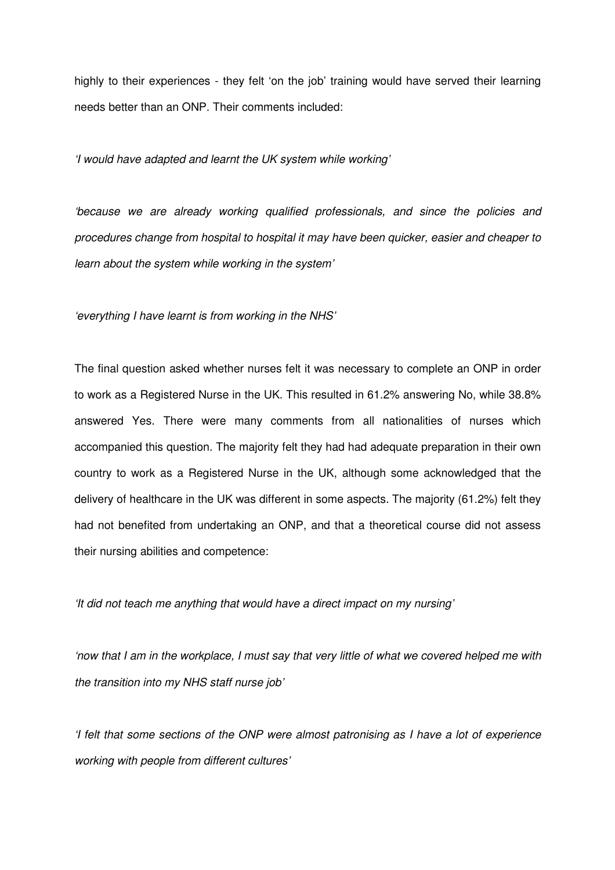highly to their experiences - they felt 'on the job' training would have served their learning needs better than an ONP. Their comments included:

'I would have adapted and learnt the UK system while working'

'because we are already working qualified professionals, and since the policies and procedures change from hospital to hospital it may have been quicker, easier and cheaper to learn about the system while working in the system'

'everything I have learnt is from working in the NHS'

The final question asked whether nurses felt it was necessary to complete an ONP in order to work as a Registered Nurse in the UK. This resulted in 61.2% answering No, while 38.8% answered Yes. There were many comments from all nationalities of nurses which accompanied this question. The majority felt they had had adequate preparation in their own country to work as a Registered Nurse in the UK, although some acknowledged that the delivery of healthcare in the UK was different in some aspects. The majority (61.2%) felt they had not benefited from undertaking an ONP, and that a theoretical course did not assess their nursing abilities and competence:

'It did not teach me anything that would have a direct impact on my nursing'

'now that I am in the workplace, I must say that very little of what we covered helped me with the transition into my NHS staff nurse job'

'I felt that some sections of the ONP were almost patronising as I have a lot of experience working with people from different cultures'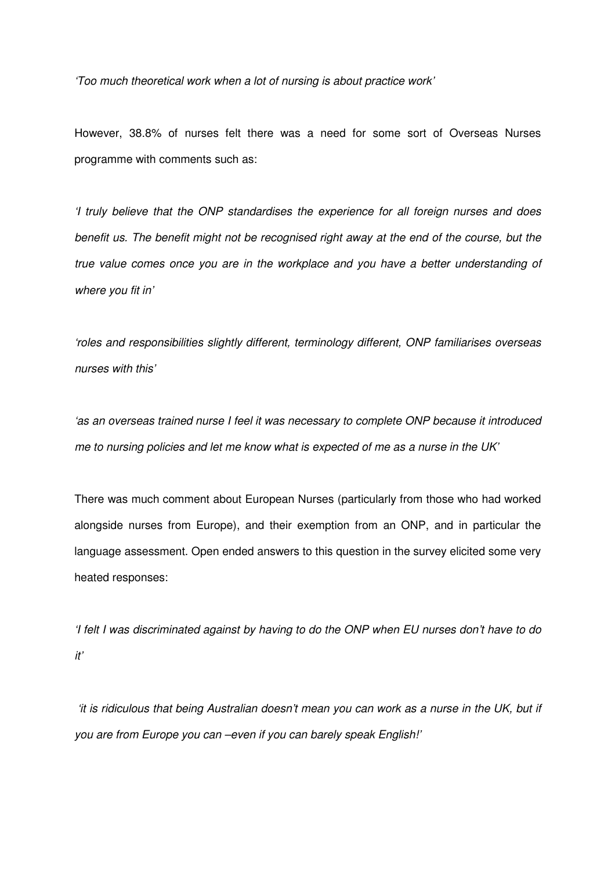'Too much theoretical work when a lot of nursing is about practice work'

However, 38.8% of nurses felt there was a need for some sort of Overseas Nurses programme with comments such as:

'I truly believe that the ONP standardises the experience for all foreign nurses and does benefit us. The benefit might not be recognised right away at the end of the course, but the true value comes once you are in the workplace and you have a better understanding of where you fit in'

'roles and responsibilities slightly different, terminology different, ONP familiarises overseas nurses with this'

'as an overseas trained nurse I feel it was necessary to complete ONP because it introduced me to nursing policies and let me know what is expected of me as a nurse in the UK'

There was much comment about European Nurses (particularly from those who had worked alongside nurses from Europe), and their exemption from an ONP, and in particular the language assessment. Open ended answers to this question in the survey elicited some very heated responses:

'I felt I was discriminated against by having to do the ONP when EU nurses don't have to do it'

 'it is ridiculous that being Australian doesn't mean you can work as a nurse in the UK, but if you are from Europe you can –even if you can barely speak English!'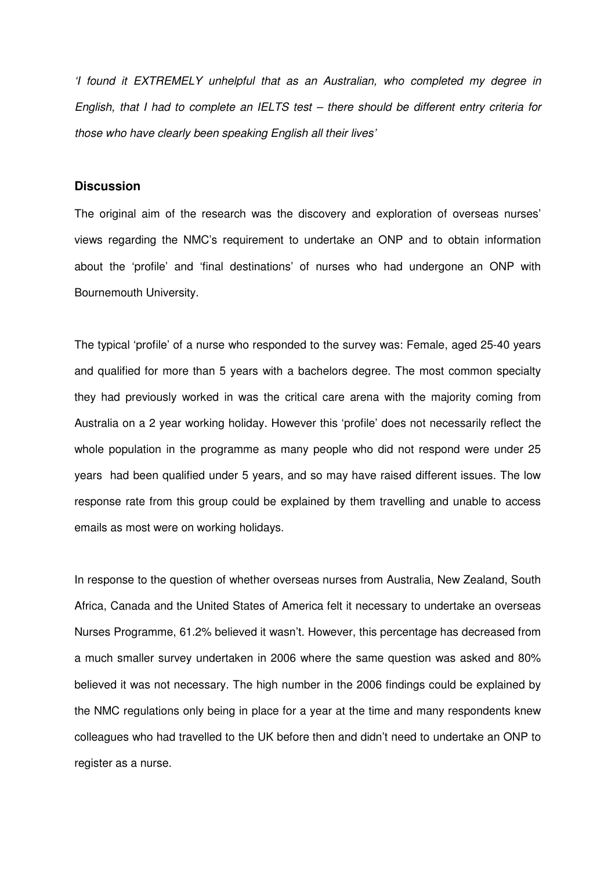'I found it EXTREMELY unhelpful that as an Australian, who completed my degree in English, that I had to complete an IELTS test – there should be different entry criteria for those who have clearly been speaking English all their lives'

# **Discussion**

The original aim of the research was the discovery and exploration of overseas nurses' views regarding the NMC's requirement to undertake an ONP and to obtain information about the 'profile' and 'final destinations' of nurses who had undergone an ONP with Bournemouth University.

The typical 'profile' of a nurse who responded to the survey was: Female, aged 25-40 years and qualified for more than 5 years with a bachelors degree. The most common specialty they had previously worked in was the critical care arena with the majority coming from Australia on a 2 year working holiday. However this 'profile' does not necessarily reflect the whole population in the programme as many people who did not respond were under 25 years had been qualified under 5 years, and so may have raised different issues. The low response rate from this group could be explained by them travelling and unable to access emails as most were on working holidays.

In response to the question of whether overseas nurses from Australia, New Zealand, South Africa, Canada and the United States of America felt it necessary to undertake an overseas Nurses Programme, 61.2% believed it wasn't. However, this percentage has decreased from a much smaller survey undertaken in 2006 where the same question was asked and 80% believed it was not necessary. The high number in the 2006 findings could be explained by the NMC regulations only being in place for a year at the time and many respondents knew colleagues who had travelled to the UK before then and didn't need to undertake an ONP to register as a nurse.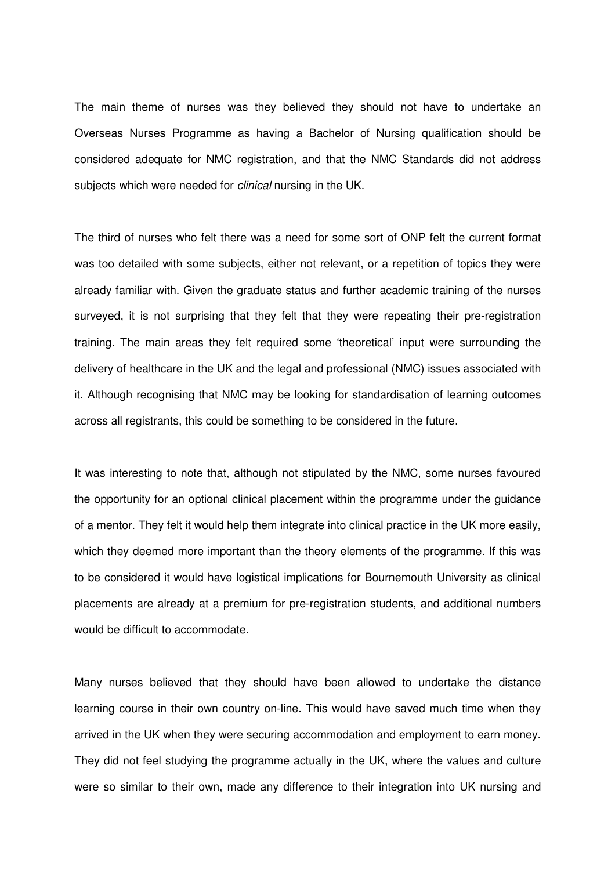The main theme of nurses was they believed they should not have to undertake an Overseas Nurses Programme as having a Bachelor of Nursing qualification should be considered adequate for NMC registration, and that the NMC Standards did not address subjects which were needed for *clinical* nursing in the UK.

The third of nurses who felt there was a need for some sort of ONP felt the current format was too detailed with some subjects, either not relevant, or a repetition of topics they were already familiar with. Given the graduate status and further academic training of the nurses surveyed, it is not surprising that they felt that they were repeating their pre-registration training. The main areas they felt required some 'theoretical' input were surrounding the delivery of healthcare in the UK and the legal and professional (NMC) issues associated with it. Although recognising that NMC may be looking for standardisation of learning outcomes across all registrants, this could be something to be considered in the future.

It was interesting to note that, although not stipulated by the NMC, some nurses favoured the opportunity for an optional clinical placement within the programme under the guidance of a mentor. They felt it would help them integrate into clinical practice in the UK more easily, which they deemed more important than the theory elements of the programme. If this was to be considered it would have logistical implications for Bournemouth University as clinical placements are already at a premium for pre-registration students, and additional numbers would be difficult to accommodate.

Many nurses believed that they should have been allowed to undertake the distance learning course in their own country on-line. This would have saved much time when they arrived in the UK when they were securing accommodation and employment to earn money. They did not feel studying the programme actually in the UK, where the values and culture were so similar to their own, made any difference to their integration into UK nursing and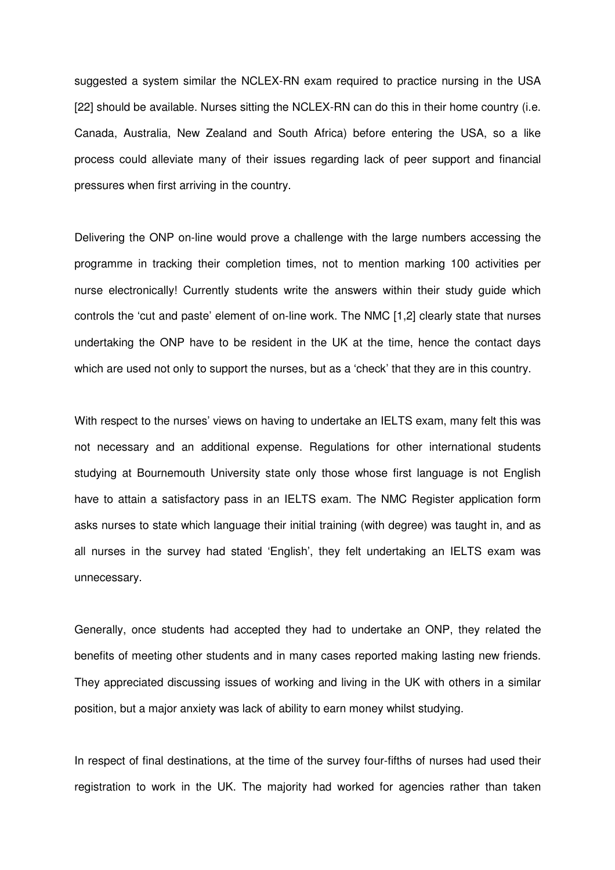suggested a system similar the NCLEX-RN exam required to practice nursing in the USA [22] should be available. Nurses sitting the NCLEX-RN can do this in their home country (i.e. Canada, Australia, New Zealand and South Africa) before entering the USA, so a like process could alleviate many of their issues regarding lack of peer support and financial pressures when first arriving in the country.

Delivering the ONP on-line would prove a challenge with the large numbers accessing the programme in tracking their completion times, not to mention marking 100 activities per nurse electronically! Currently students write the answers within their study guide which controls the 'cut and paste' element of on-line work. The NMC [1,2] clearly state that nurses undertaking the ONP have to be resident in the UK at the time, hence the contact days which are used not only to support the nurses, but as a 'check' that they are in this country.

With respect to the nurses' views on having to undertake an IELTS exam, many felt this was not necessary and an additional expense. Regulations for other international students studying at Bournemouth University state only those whose first language is not English have to attain a satisfactory pass in an IELTS exam. The NMC Register application form asks nurses to state which language their initial training (with degree) was taught in, and as all nurses in the survey had stated 'English', they felt undertaking an IELTS exam was unnecessary.

Generally, once students had accepted they had to undertake an ONP, they related the benefits of meeting other students and in many cases reported making lasting new friends. They appreciated discussing issues of working and living in the UK with others in a similar position, but a major anxiety was lack of ability to earn money whilst studying.

In respect of final destinations, at the time of the survey four-fifths of nurses had used their registration to work in the UK. The majority had worked for agencies rather than taken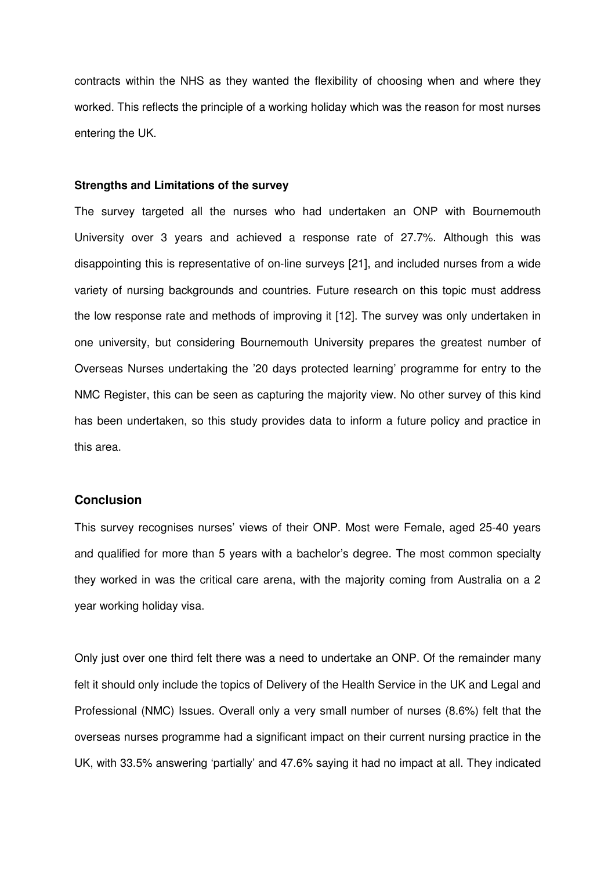contracts within the NHS as they wanted the flexibility of choosing when and where they worked. This reflects the principle of a working holiday which was the reason for most nurses entering the UK.

#### **Strengths and Limitations of the survey**

The survey targeted all the nurses who had undertaken an ONP with Bournemouth University over 3 years and achieved a response rate of 27.7%. Although this was disappointing this is representative of on-line surveys [21], and included nurses from a wide variety of nursing backgrounds and countries. Future research on this topic must address the low response rate and methods of improving it [12]. The survey was only undertaken in one university, but considering Bournemouth University prepares the greatest number of Overseas Nurses undertaking the '20 days protected learning' programme for entry to the NMC Register, this can be seen as capturing the majority view. No other survey of this kind has been undertaken, so this study provides data to inform a future policy and practice in this area.

# **Conclusion**

This survey recognises nurses' views of their ONP. Most were Female, aged 25-40 years and qualified for more than 5 years with a bachelor's degree. The most common specialty they worked in was the critical care arena, with the majority coming from Australia on a 2 year working holiday visa.

Only just over one third felt there was a need to undertake an ONP. Of the remainder many felt it should only include the topics of Delivery of the Health Service in the UK and Legal and Professional (NMC) Issues. Overall only a very small number of nurses (8.6%) felt that the overseas nurses programme had a significant impact on their current nursing practice in the UK, with 33.5% answering 'partially' and 47.6% saying it had no impact at all. They indicated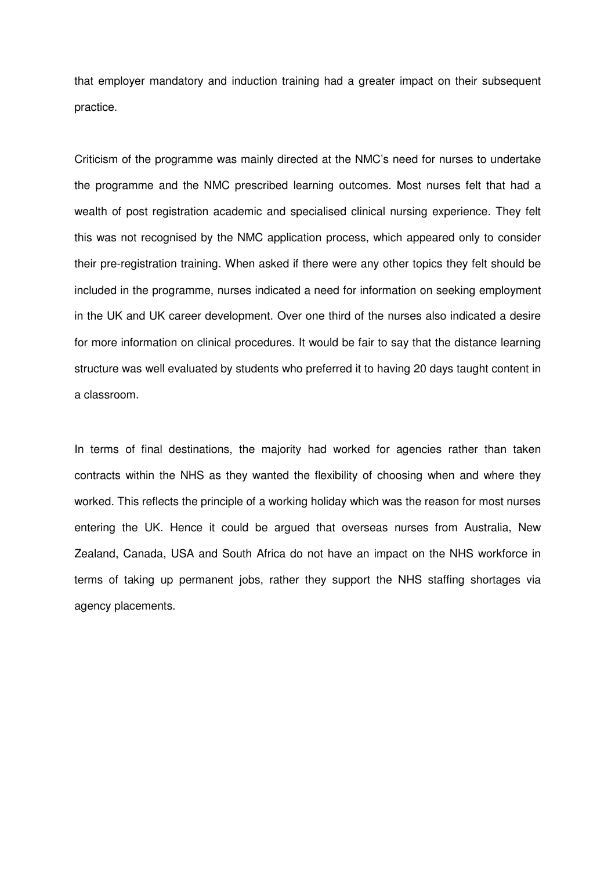that employer mandatory and induction training had a greater impact on their subsequent practice.

Criticism of the programme was mainly directed at the NMC's need for nurses to undertake the programme and the NMC prescribed learning outcomes. Most nurses felt that had a wealth of post registration academic and specialised clinical nursing experience. They felt this was not recognised by the NMC application process, which appeared only to consider their pre-registration training. When asked if there were any other topics they felt should be included in the programme, nurses indicated a need for information on seeking employment in the UK and UK career development. Over one third of the nurses also indicated a desire for more information on clinical procedures. It would be fair to say that the distance learning structure was well evaluated by students who preferred it to having 20 days taught content in a classroom.

In terms of final destinations, the majority had worked for agencies rather than taken contracts within the NHS as they wanted the flexibility of choosing when and where they worked. This reflects the principle of a working holiday which was the reason for most nurses entering the UK. Hence it could be argued that overseas nurses from Australia, New Zealand, Canada, USA and South Africa do not have an impact on the NHS workforce in terms of taking up permanent jobs, rather they support the NHS staffing shortages via agency placements.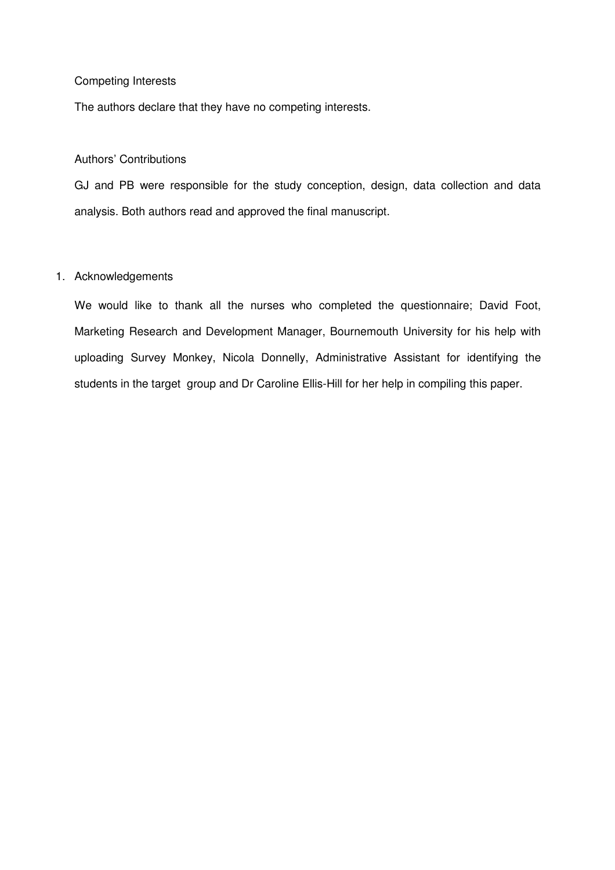# Competing Interests

The authors declare that they have no competing interests.

# Authors' Contributions

GJ and PB were responsible for the study conception, design, data collection and data analysis. Both authors read and approved the final manuscript.

#### 1. Acknowledgements

We would like to thank all the nurses who completed the questionnaire; David Foot, Marketing Research and Development Manager, Bournemouth University for his help with uploading Survey Monkey, Nicola Donnelly, Administrative Assistant for identifying the students in the target group and Dr Caroline Ellis-Hill for her help in compiling this paper.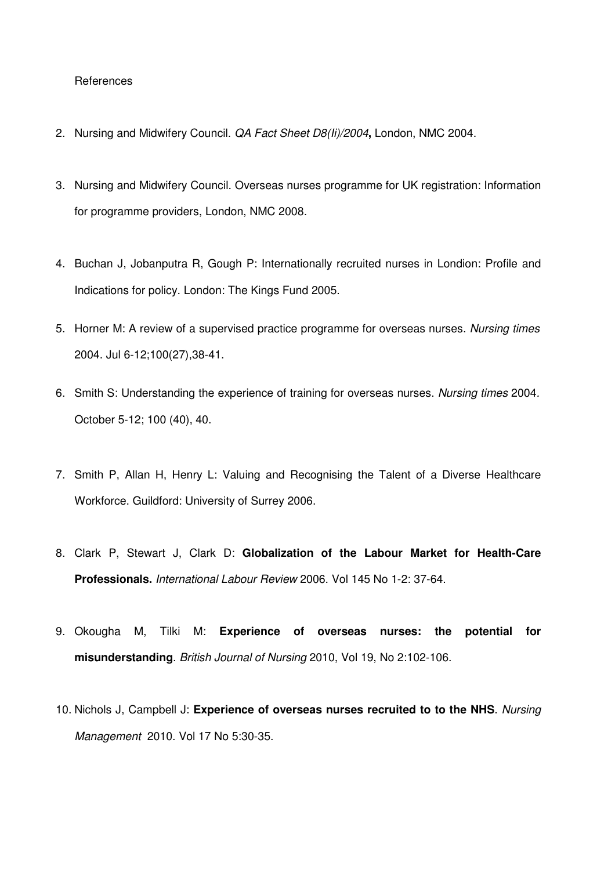#### **References**

- 2. Nursing and Midwifery Council. QA Fact Sheet D8(Ii)/2004**,** London, NMC 2004.
- 3. Nursing and Midwifery Council. Overseas nurses programme for UK registration: Information for programme providers, London, NMC 2008.
- 4. Buchan J, Jobanputra R, Gough P: Internationally recruited nurses in Londion: Profile and Indications for policy. London: The Kings Fund 2005.
- 5. Horner M: A review of a supervised practice programme for overseas nurses. Nursing times 2004. Jul 6-12;100(27),38-41.
- 6. Smith S: Understanding the experience of training for overseas nurses. Nursing times 2004. October 5-12; 100 (40), 40.
- 7. Smith P, Allan H, Henry L: Valuing and Recognising the Talent of a Diverse Healthcare Workforce. Guildford: University of Surrey 2006.
- 8. Clark P, Stewart J, Clark D: **Globalization of the Labour Market for Health-Care Professionals.** International Labour Review 2006. Vol 145 No 1-2: 37-64.
- 9. Okougha M, Tilki M: **Experience of overseas nurses: the potential for misunderstanding**. British Journal of Nursing 2010, Vol 19, No 2:102-106.
- 10. Nichols J, Campbell J: **Experience of overseas nurses recruited to to the NHS**. Nursing Management 2010. Vol 17 No 5:30-35.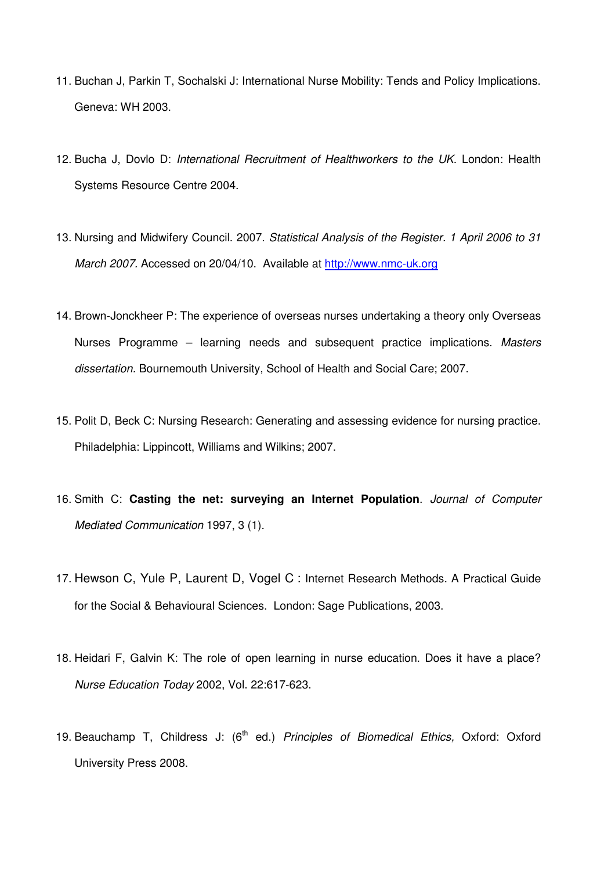- 11. Buchan J, Parkin T, Sochalski J: International Nurse Mobility: Tends and Policy Implications. Geneva: WH 2003.
- 12. Bucha J, Dovlo D: International Recruitment of Healthworkers to the UK. London: Health Systems Resource Centre 2004.
- 13. Nursing and Midwifery Council. 2007. Statistical Analysis of the Register. 1 April 2006 to 31 March 2007. Accessed on 20/04/10. Available at http://www.nmc-uk.org
- 14. Brown-Jonckheer P: The experience of overseas nurses undertaking a theory only Overseas Nurses Programme – learning needs and subsequent practice implications. Masters dissertation. Bournemouth University, School of Health and Social Care; 2007.
- 15. Polit D, Beck C: Nursing Research: Generating and assessing evidence for nursing practice. Philadelphia: Lippincott, Williams and Wilkins; 2007.
- 16. Smith C: **Casting the net: surveying an Internet Population**. Journal of Computer Mediated Communication 1997, 3 (1).
- 17. Hewson C, Yule P, Laurent D, Vogel C : Internet Research Methods. A Practical Guide for the Social & Behavioural Sciences. London: Sage Publications, 2003.
- 18. Heidari F, Galvin K: The role of open learning in nurse education. Does it have a place? Nurse Education Today 2002, Vol. 22:617-623.
- 19. Beauchamp T, Childress J:  $(6<sup>th</sup>$  ed.) Principles of Biomedical Ethics, Oxford: Oxford University Press 2008.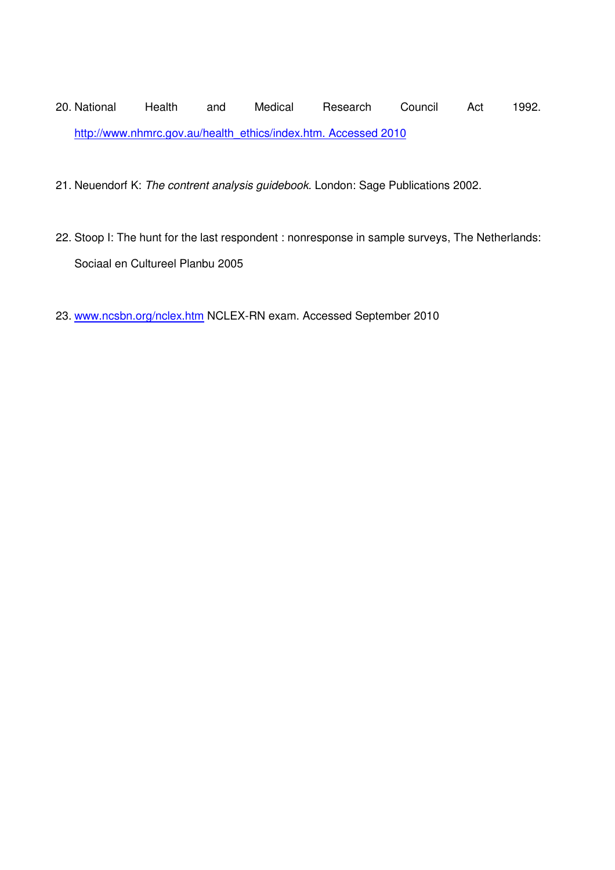20. National Health and Medical Research Council Act 1992. http://www.nhmrc.gov.au/health\_ethics/index.htm. Accessed 2010

- 21. Neuendorf K: The contrent analysis guidebook. London: Sage Publications 2002.
- 22. Stoop I: The hunt for the last respondent : nonresponse in sample surveys, The Netherlands: Sociaal en Cultureel Planbu 2005
- 23. www.ncsbn.org/nclex.htm NCLEX-RN exam. Accessed September 2010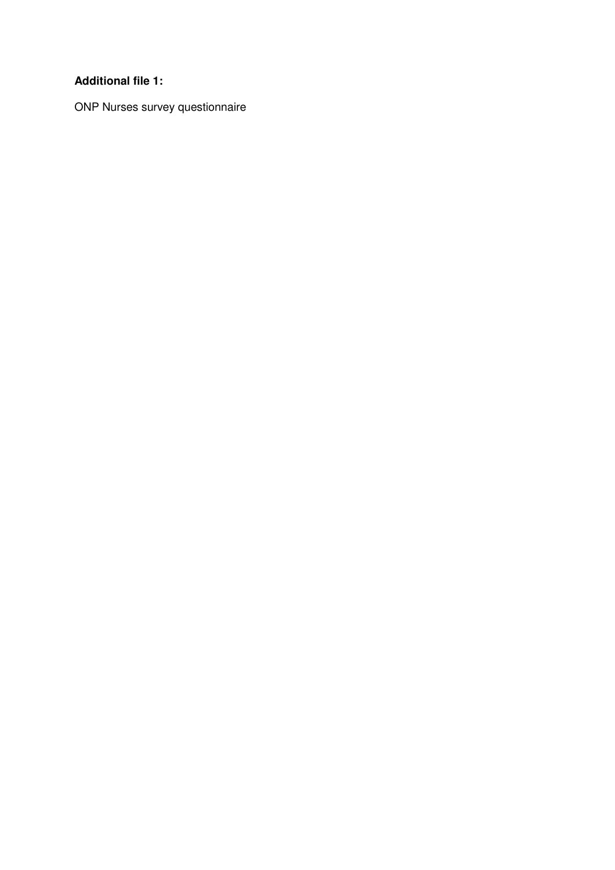# **Additional file 1:**

ONP Nurses survey questionnaire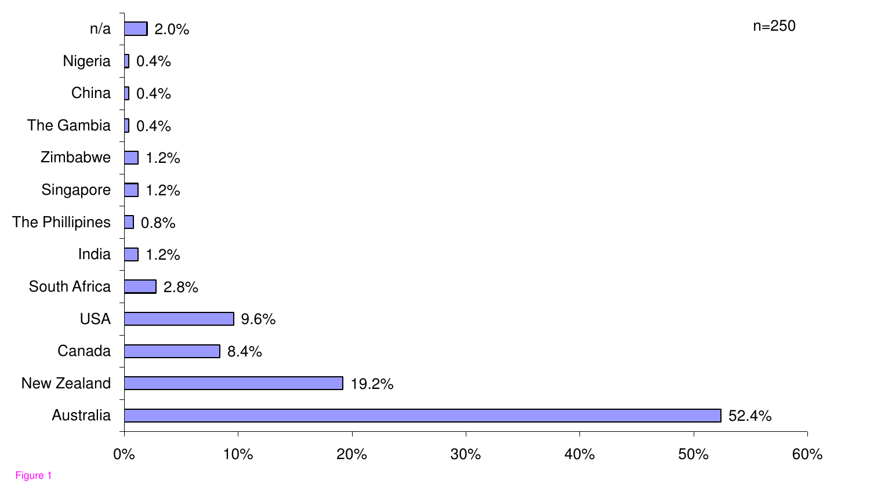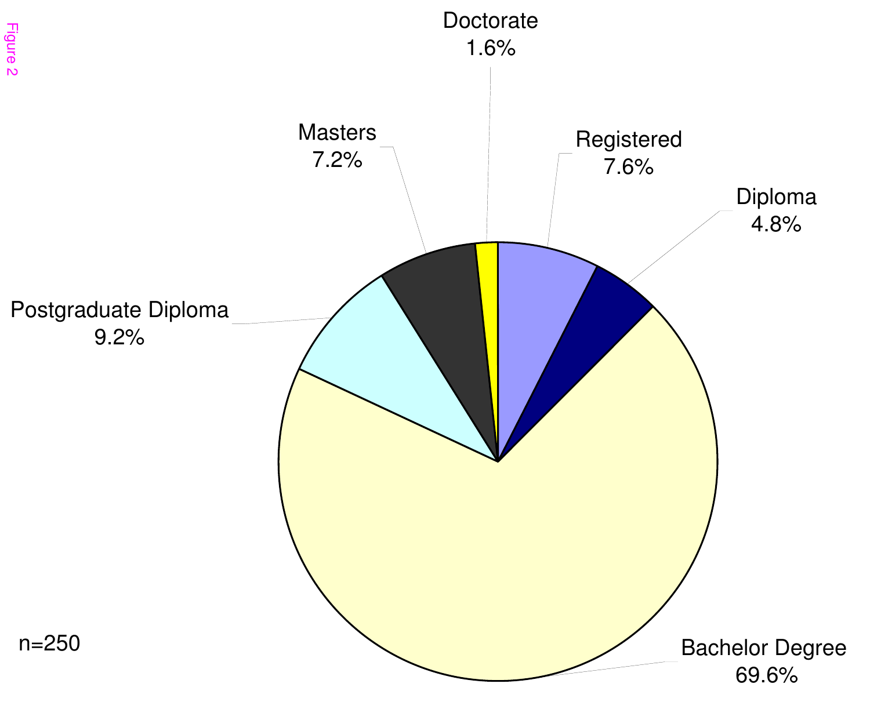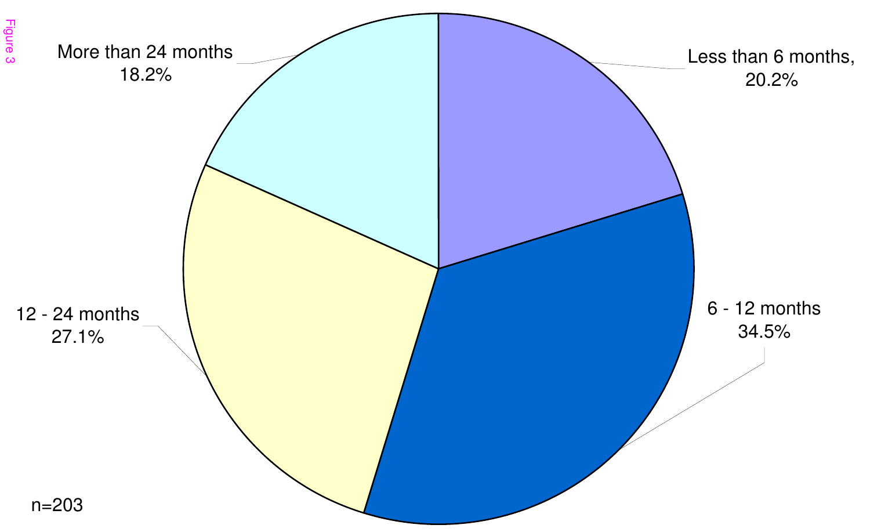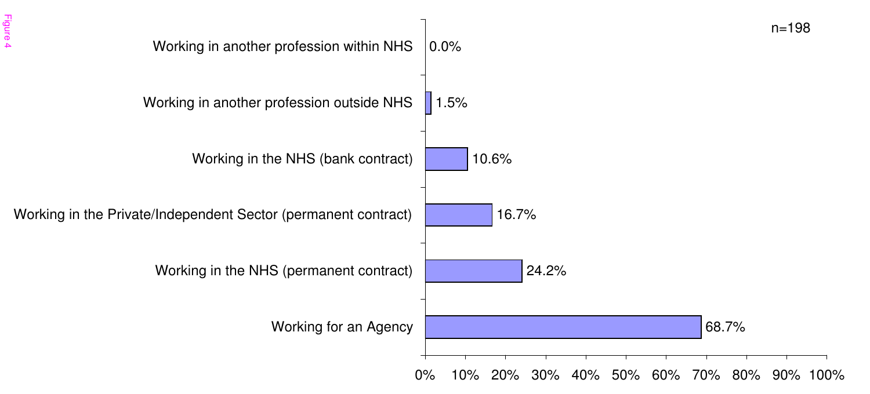![](_page_29_Figure_0.jpeg)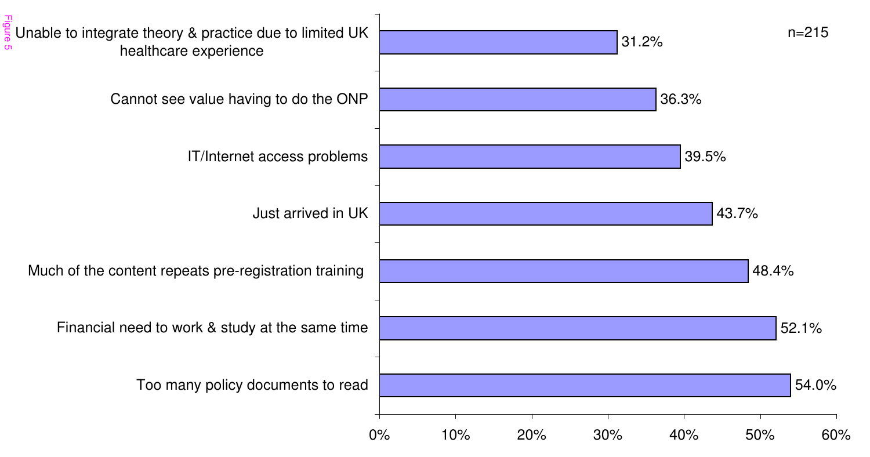![](_page_30_Figure_0.jpeg)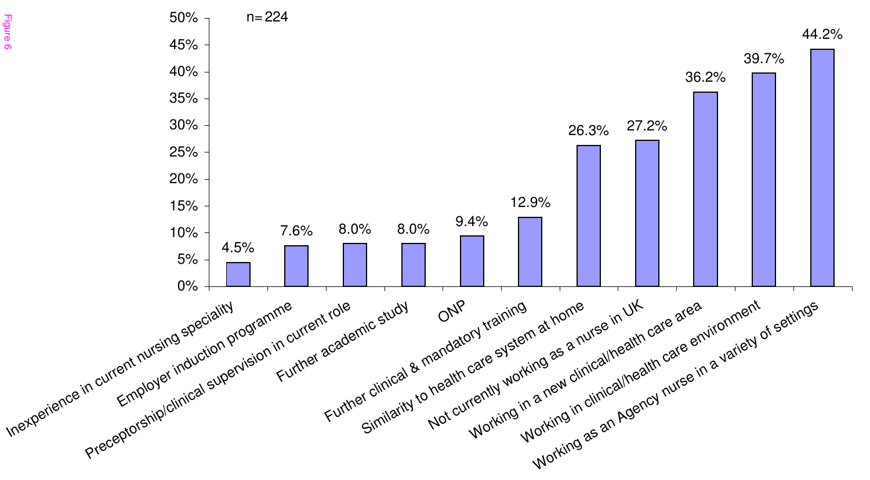![](_page_31_Figure_0.jpeg)